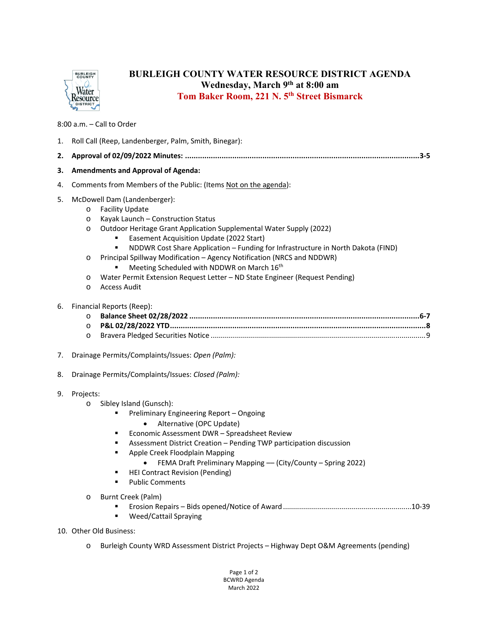

## **BURLEIGH COUNTY WATER RESOURCE DISTRICT AGENDA Wednesday, March 9th at 8:00 am Tom Baker Room, 221 N. 5th Street Bismarck**

8:00 a.m. – Call to Order

| 1. | Roll Call (Reep, Landenberger, Palm, Smith, Binegar):                                                                                                                                                                                                                                                                                                                                                                                                                                                                                                                                                                 |
|----|-----------------------------------------------------------------------------------------------------------------------------------------------------------------------------------------------------------------------------------------------------------------------------------------------------------------------------------------------------------------------------------------------------------------------------------------------------------------------------------------------------------------------------------------------------------------------------------------------------------------------|
| 2. |                                                                                                                                                                                                                                                                                                                                                                                                                                                                                                                                                                                                                       |
| З. | <b>Amendments and Approval of Agenda:</b>                                                                                                                                                                                                                                                                                                                                                                                                                                                                                                                                                                             |
| 4. | Comments from Members of the Public: (Items Not on the agenda):                                                                                                                                                                                                                                                                                                                                                                                                                                                                                                                                                       |
| 5. | McDowell Dam (Landenberger):<br><b>Facility Update</b><br>$\circ$<br>Kayak Launch - Construction Status<br>$\circ$<br>Outdoor Heritage Grant Application Supplemental Water Supply (2022)<br>$\circ$<br>Easement Acquisition Update (2022 Start)<br>NDDWR Cost Share Application - Funding for Infrastructure in North Dakota (FIND)<br>$\blacksquare$<br>Principal Spillway Modification - Agency Notification (NRCS and NDDWR)<br>$\circ$<br>Meeting Scheduled with NDDWR on March 16th<br>Water Permit Extension Request Letter - ND State Engineer (Request Pending)<br>$\circ$<br><b>Access Audit</b><br>$\circ$ |
| 6. | Financial Reports (Reep):<br>$\circ$<br>$\circ$<br>$\circ$                                                                                                                                                                                                                                                                                                                                                                                                                                                                                                                                                            |
| 7. | Drainage Permits/Complaints/Issues: Open (Palm):                                                                                                                                                                                                                                                                                                                                                                                                                                                                                                                                                                      |
| 8. | Drainage Permits/Complaints/Issues: Closed (Palm):                                                                                                                                                                                                                                                                                                                                                                                                                                                                                                                                                                    |
| 9. | Projects:<br>Sibley Island (Gunsch):<br>$\circ$<br>$\blacksquare$<br>Preliminary Engineering Report - Ongoing<br>Alternative (OPC Update)<br>$\bullet$<br>Economic Assessment DWR - Spreadsheet Review<br>٠<br>Assessment District Creation - Pending TWP participation discussion<br>٠<br>٠<br>Apple Creek Floodplain Mapping<br>FEMA Draft Preliminary Mapping - (City/County - Spring 2022)<br><b>HEI Contract Revision (Pending)</b><br>٠<br><b>Public Comments</b><br>$\blacksquare$<br>Burnt Creek (Palm)<br>$\circ$<br><b>Weed/Cattail Spraying</b><br>$\blacksquare$                                          |
|    | 10. Other Old Business:                                                                                                                                                                                                                                                                                                                                                                                                                                                                                                                                                                                               |
|    | Burleigh County WRD Assessment District Projects - Highway Dept O&M Agreements (pending)<br>$\circ$                                                                                                                                                                                                                                                                                                                                                                                                                                                                                                                   |